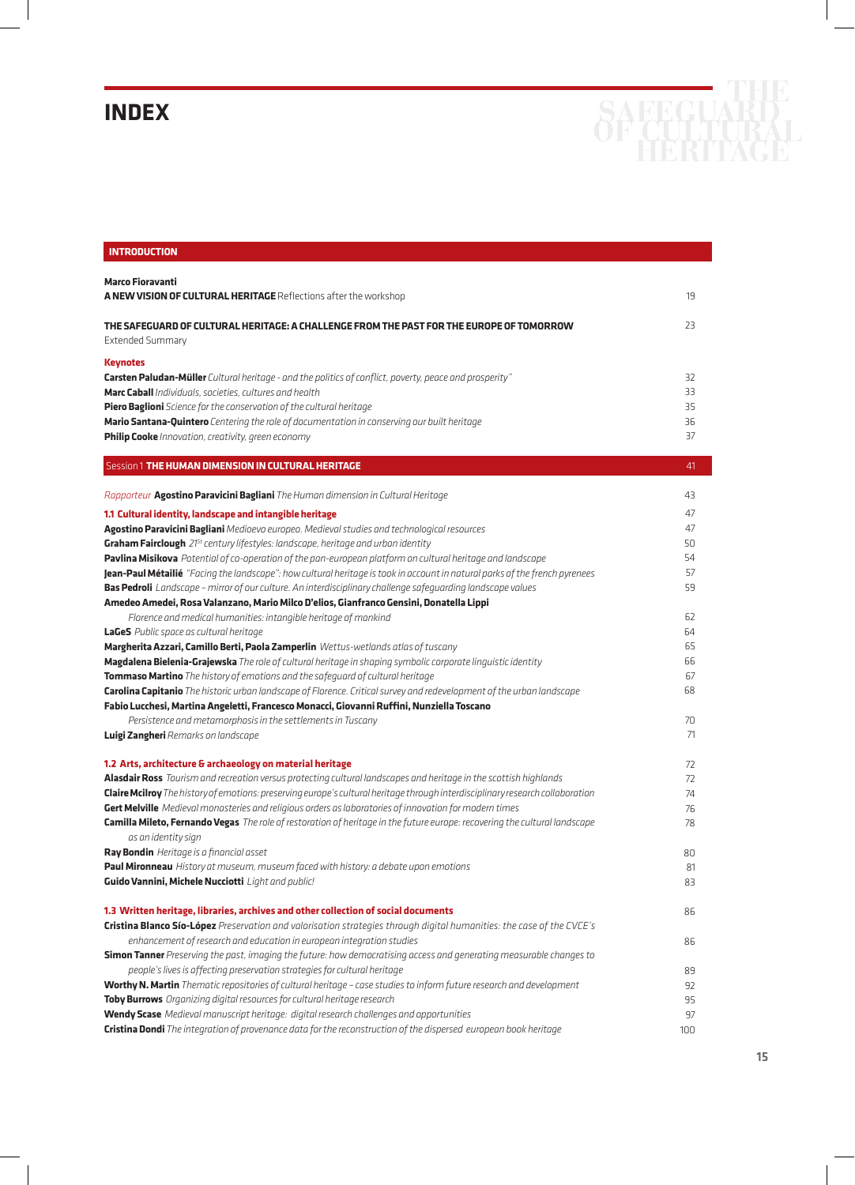## **INDEX**



15

SAEEGUA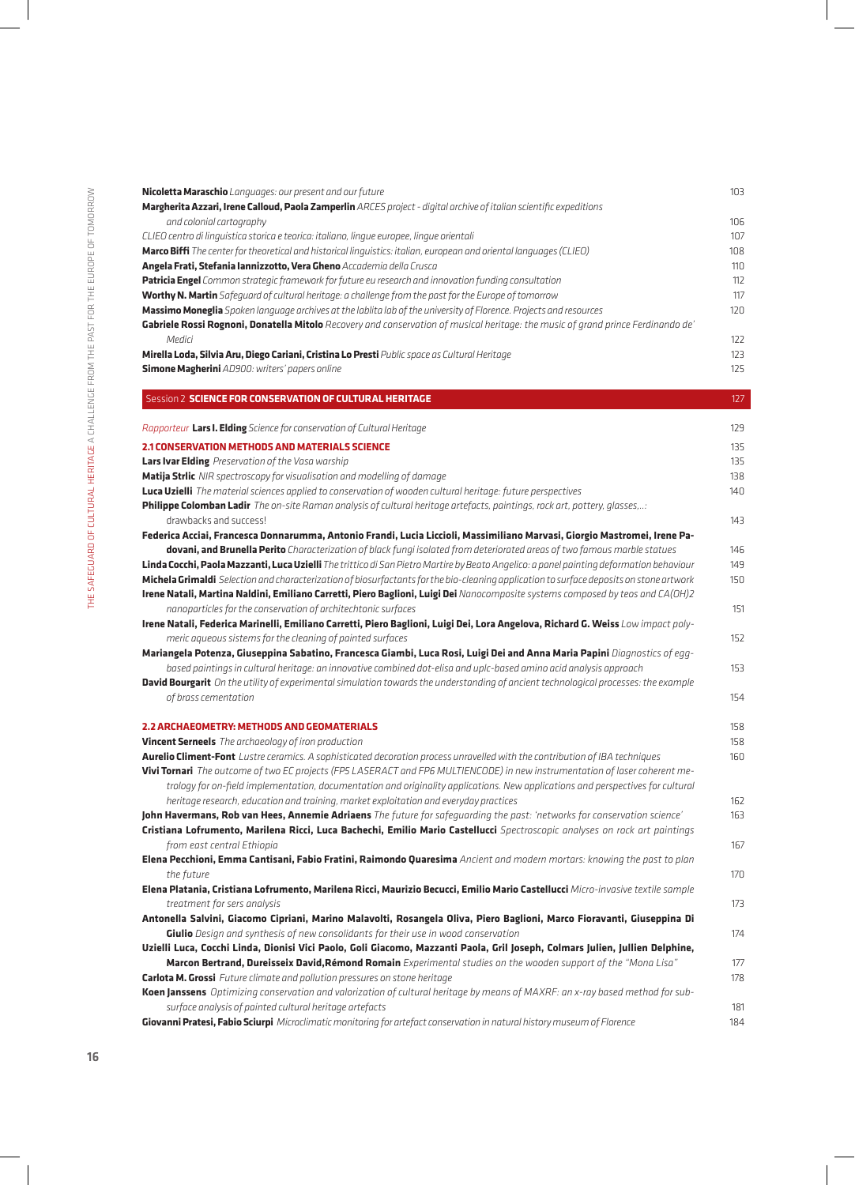| Nicoletta Maraschio Languages: our present and our future                                                                               | 103 |
|-----------------------------------------------------------------------------------------------------------------------------------------|-----|
| Margherita Azzari, Irene Calloud, Paola Zamperlin ARCES project - digital archive of italian scientific expeditions                     |     |
| and colonial cartography                                                                                                                | 106 |
| CLIEO centro di linguistica storica e teorica: italiano, lingue europee, lingue orientali                                               | 107 |
| Marco Biffi The center for theoretical and historical linguistics: italian, european and oriental languages (CLIEO)                     | 108 |
| Angela Frati, Stefania Iannizzotto, Vera Gheno Accademia della Crusca                                                                   | 110 |
| Patricia Engel Common strategic framework for future eu research and innovation funding consultation                                    | 112 |
|                                                                                                                                         | 117 |
| Worthy N. Martin Safeguard of cultural heritage: a challenge from the past for the Europe of tomorrow                                   |     |
| Massimo Moneglia Spoken language archives at the lablita lab of the university of Florence. Projects and resources                      | 120 |
| Gabriele Rossi Rognoni, Donatella Mitolo Recovery and conservation of musical heritage: the music of grand prince Ferdinando de'        |     |
| Medici                                                                                                                                  | 122 |
| Mirella Loda, Silvia Aru, Diego Cariani, Cristina Lo Presti Public space as Cultural Heritage                                           | 123 |
| Simone Magherini AD900: writers' papers online                                                                                          | 125 |
| Session 2 SCIENCE FOR CONSERVATION OF CULTURAL HERITAGE                                                                                 | 127 |
| Rapporteur Lars I. Elding Science for conservation of Cultural Heritage                                                                 | 129 |
| <b>2.1 CONSERVATION METHODS AND MATERIALS SCIENCE</b>                                                                                   | 135 |
| Lars Ivar Elding Preservation of the Vasa warship                                                                                       | 135 |
| Matija Strlic NIR spectroscopy for visualisation and modelling of damage                                                                | 138 |
| Luca Uzielli The material sciences applied to conservation of wooden cultural heritage: future perspectives                             | 140 |
| Philippe Colomban Ladir The on-site Raman analysis of cultural heritage artefacts, paintings, rock art, pottery, glasses,:              |     |
| drawbacks and success!                                                                                                                  | 143 |
| Federica Acciai, Francesca Donnarumma, Antonio Frandi, Lucia Liccioli, Massimiliano Marvasi, Giorgio Mastromei, Irene Pa-               |     |
|                                                                                                                                         |     |
| dovani, and Brunella Perito Characterization of black fungi isolated from deteriorated areas of two famous marble statues               | 146 |
| Linda Cocchi, Paola Mazzanti, Luca Uzielli The trittico di San Pietro Martire by Beato Angelico: a panel painting deformation behaviour | 149 |
| Michela Grimaldi Selection and characterization of biosurfactants for the bio-cleaning application to surface deposits on stone artwork | 150 |
| Irene Natali, Martina Naldini, Emiliano Carretti, Piero Baglioni, Luigi Dei Nanocomposite systems composed by teos and CA(OH)2          |     |
| nanoparticles for the conservation of architechtonic surfaces                                                                           | 151 |
| Irene Natali, Federica Marinelli, Emiliano Carretti, Piero Baglioni, Luigi Dei, Lora Angelova, Richard G. Weiss Low impact poly-        |     |
| meric aqueous sistems for the cleaning of painted surfaces                                                                              | 152 |
| Mariangela Potenza, Giuseppina Sabatino, Francesca Giambi, Luca Rosi, Luigi Dei and Anna Maria Papini Diagnostics of egg-               |     |
| based paintings in cultural heritage: an innovative combined dot-elisa and uplc-based amino acid analysis approach                      | 153 |
| David Bourgarit On the utility of experimental simulation towards the understanding of ancient technological processes: the example     |     |
| of brass cementation                                                                                                                    | 154 |
| 2.2 ARCHAEOMETRY: METHODS AND GEOMATERIALS                                                                                              | 158 |
| Vincent Serneels The archaeology of iron production                                                                                     | 158 |
| Aurelio Climent-Font Lustre ceramics. A sophisticated decoration process unravelled with the contribution of IBA techniques             | 160 |
| Vivi Tornari The outcome of two EC projects (FP5 LASERACT and FP6 MULTIENCODE) in new instrumentation of laser coherent me-             |     |
| trology for on-field implementation, documentation and originality applications. New applications and perspectives for cultural         |     |
| heritage research, education and training, market exploitation and everyday practices                                                   | 162 |
| John Havermans, Rob van Hees, Annemie Adriaens The future for safequarding the past: 'networks for conservation science'                | 163 |
| Cristiana Lofrumento, Marilena Ricci, Luca Bachechi, Emilio Mario Castellucci Spectroscopic analyses on rock art paintings              |     |
| from east central Ethiopia                                                                                                              | 167 |
| Elena Pecchioni, Emma Cantisani, Fabio Fratini, Raimondo Quaresima Ancient and modern mortars: knowing the past to plan                 |     |
| the future                                                                                                                              | 170 |
| Elena Platania, Cristiana Lofrumento, Marilena Ricci, Maurizio Becucci, Emilio Mario Castellucci Micro-invasive textile sample          |     |
|                                                                                                                                         |     |
| treatment for sers analysis                                                                                                             | 173 |
| Antonella Salvini, Giacomo Cipriani, Marino Malavolti, Rosangela Oliva, Piero Baglioni, Marco Fioravanti, Giuseppina Di                 |     |
| Giulio Design and synthesis of new consolidants for their use in wood conservation                                                      | 174 |
| Uzielli Luca, Cocchi Linda, Dionisi Vici Paolo, Goli Giacomo, Mazzanti Paola, Gril Joseph, Colmars Julien, Jullien Delphine,            |     |
| Marcon Bertrand, Dureisseix David, Rémond Romain Experimental studies on the wooden support of the "Mona Lisa"                          | 177 |
| <b>Carlota M. Grossi</b> Future climate and pollution pressures on stone heritage                                                       | 178 |
| Koen Janssens Optimizing conservation and valorization of cultural heritage by means of MAXRF: an x-ray based method for sub-           |     |
| surface analysis of painted cultural heritage artefacts                                                                                 | 181 |
| Giovanni Pratesi, Fabio Sciurpi Microclimatic monitoring for artefact conservation in natural history museum of Florence                | 184 |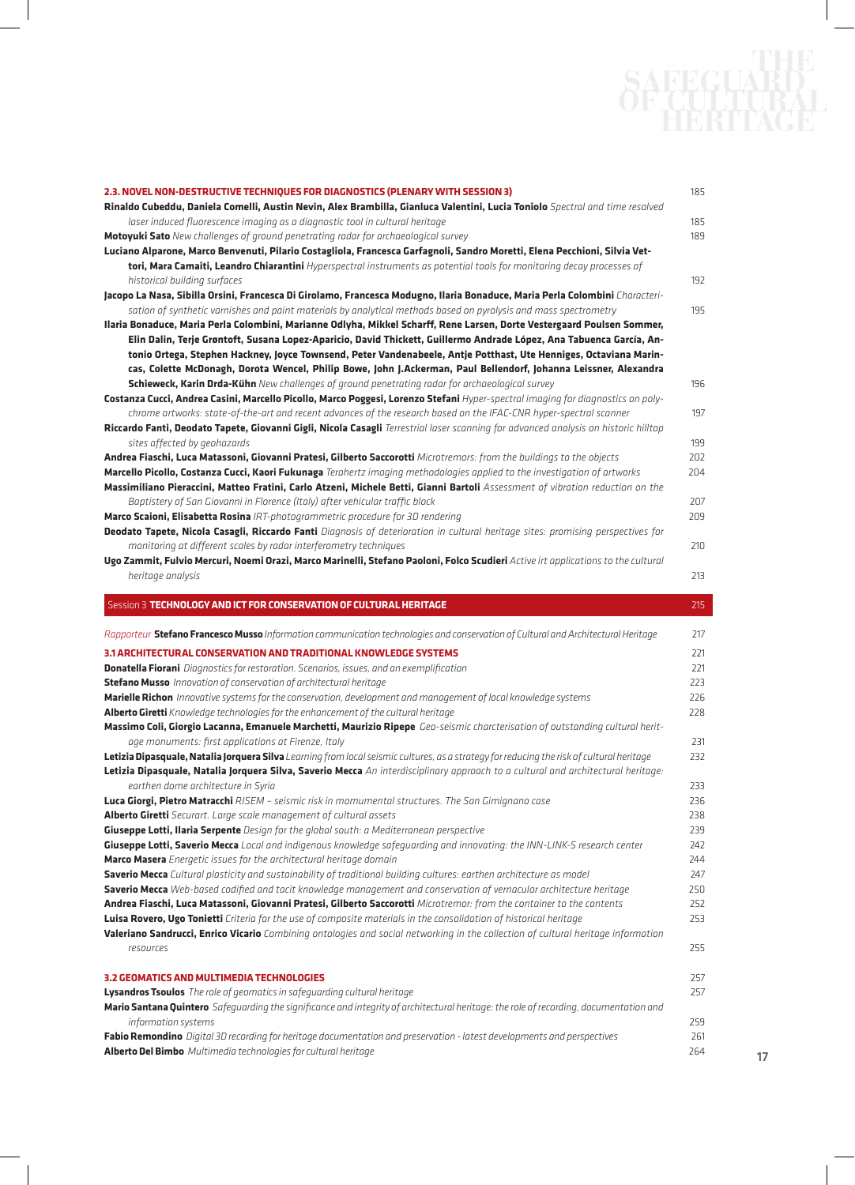## SAEEGUARD

| 2.3. NOVEL NON-DESTRUCTIVE TECHNIQUES FOR DIAGNOSTICS (PLENARY WITH SESSION 3)                                                                                                                    | 185        |
|---------------------------------------------------------------------------------------------------------------------------------------------------------------------------------------------------|------------|
| Rinaldo Cubeddu, Daniela Comelli, Austin Nevin, Alex Brambilla, Gianluca Valentini, Lucia Toniolo Spectral and time resolved                                                                      |            |
| laser induced fluorescence imaging as a diagnostic tool in cultural heritage                                                                                                                      | 185        |
| Motoyuki Sato New challenges of ground penetrating radar for archaeological survey                                                                                                                | 189        |
| Luciano Alparone, Marco Benvenuti, Pilario Costagliola, Francesca Garfagnoli, Sandro Moretti, Elena Pecchioni, Silvia Vet-                                                                        |            |
| tori, Mara Camaiti, Leandro Chiarantini Hyperspectral instruments as potential tools for monitoring decay processes of                                                                            |            |
| historical building surfaces                                                                                                                                                                      | 192        |
| Jacopo La Nasa, Sibilla Orsini, Francesca Di Girolamo, Francesca Modugno, Ilaria Bonaduce, Maria Perla Colombini Characteri-                                                                      |            |
| sation of synthetic varnishes and paint materials by analytical methods based on pyrolysis and mass spectrometry                                                                                  | 195        |
| Ilaria Bonaduce, Maria Perla Colombini, Marianne Odlyha, Mikkel Scharff, Rene Larsen, Dorte Vestergaard Poulsen Sommer,                                                                           |            |
| Elin Dalin, Terje Grøntoft, Susana Lopez-Aparicio, David Thickett, Guillermo Andrade López, Ana Tabuenca García, An-                                                                              |            |
| tonio Ortega, Stephen Hackney, Joyce Townsend, Peter Vandenabeele, Antje Potthast, Ute Henniges, Octaviana Marin-                                                                                 |            |
| cas, Colette McDonagh, Dorota Wencel, Philip Bowe, John J.Ackerman, Paul Bellendorf, Johanna Leissner, Alexandra                                                                                  |            |
| <b>Schieweck, Karin Drda-Kühn</b> New challenges of ground penetrating radar for archaeological survey                                                                                            | 196        |
| Costanza Cucci, Andrea Casini, Marcello Picollo, Marco Poggesi, Lorenzo Stefani Hyper-spectral imaging for diagnostics on poly-                                                                   |            |
| chrome artworks: state-of-the-art and recent advances of the research based on the IFAC-CNR hyper-spectral scanner                                                                                | 197        |
|                                                                                                                                                                                                   |            |
| Riccardo Fanti, Deodato Tapete, Giovanni Gigli, Nicola Casagli Terrestrial laser scanning for advanced analysis on historic hilltop                                                               |            |
| sites affected by geohazards                                                                                                                                                                      | 199        |
| Andrea Fiaschi, Luca Matassoni, Giovanni Pratesi, Gilberto Saccorotti Microtremors: from the buildings to the objects                                                                             | 202        |
| Marcello Picollo, Costanza Cucci, Kaori Fukunaga Terahertz imaging methodologies applied to the investigation of artworks                                                                         | 204        |
| Massimiliano Pieraccini, Matteo Fratini, Carlo Atzeni, Michele Betti, Gianni Bartoli Assessment of vibration reduction on the                                                                     |            |
| Baptistery of San Giovanni in Florence (Italy) after vehicular traffic block                                                                                                                      | 207        |
| Marco Scaioni, Elisabetta Rosina IRT-photogrammetric procedure for 3D rendering                                                                                                                   | 209        |
| Deodato Tapete, Nicola Casagli, Riccardo Fanti Diagnosis of deterioration in cultural heritage sites: promising perspectives for                                                                  |            |
| monitoring at different scales by radar interferometry techniques                                                                                                                                 | 210        |
| Ugo Zammit, Fulvio Mercuri, Noemi Orazi, Marco Marinelli, Stefano Paoloni, Folco Scudieri Active irt applications to the cultural                                                                 |            |
| heritage analysis                                                                                                                                                                                 | 213        |
|                                                                                                                                                                                                   |            |
| Session 3 TECHNOLOGY AND ICT FOR CONSERVATION OF CULTURAL HERITAGE                                                                                                                                | 215        |
|                                                                                                                                                                                                   |            |
|                                                                                                                                                                                                   | 217        |
| Rapporteur Stefano Francesco Musso Information communication technologies and conservation of Cultural and Architectural Heritage                                                                 |            |
| 3.1 ARCHITECTURAL CONSERVATION AND TRADITIONAL KNOWLEDGE SYSTEMS                                                                                                                                  | 221        |
| <b>Donatella Fiorani</b> Diagnostics for restoration. Scenarios, issues, and an exemplification                                                                                                   | 221        |
| <b>Stefano Musso</b> Innovation of conservation of architectural heritage                                                                                                                         | 223        |
| Marielle Richon Innovative systems for the conservation, development and management of local knowledge systems                                                                                    | 226        |
| <b>Alberto Giretti</b> Knowledge technologies for the enhancement of the cultural heritage                                                                                                        | 228        |
| Massimo Coli, Giorgio Lacanna, Emanuele Marchetti, Maurizio Ripepe Geo-seismic charcterisation of outstanding cultural herit-                                                                     |            |
| age monuments: first applications at Firenze, Italy                                                                                                                                               | 231        |
| Letizia Dipasquale, Natalia Jorquera Silva Learning from local seismic cultures, as a strategy for reducing the risk of cultural heritage                                                         | 232        |
| Letizia Dipasquale, Natalia Jorquera Silva, Saverio Mecca An interdisciplinary approach to a cultural and architectural heritage:                                                                 |            |
| earthen dome architecture in Syria                                                                                                                                                                | 233        |
| Luca Giorgi, Pietro Matracchi RISEM - seismic risk in momumental structures. The San Gimignano case                                                                                               | 236        |
| Alberto Giretti Securart. Large scale management of cultural assets                                                                                                                               | 238        |
| Giuseppe Lotti, Ilaria Serpente Design for the global south: a Mediterranean perspective                                                                                                          | 239        |
| Giuseppe Lotti, Saverio Mecca Local and indigenous knowledge safeguarding and innovating: the INN-LINK-S research center                                                                          | 242        |
| Marco Masera Energetic issues for the architectural heritage domain                                                                                                                               | 244        |
| Saverio Mecca Cultural plasticity and sustainability of traditional building cultures: earthen architecture as model                                                                              | 247        |
| Saverio Mecca Web-based codified and tacit knowledge management and conservation of vernacular architecture heritage                                                                              | 250        |
| Andrea Fiaschi, Luca Matassoni, Giovanni Pratesi, Gilberto Saccorotti Microtremor: from the container to the contents                                                                             | 252        |
| Luisa Rovero, Ugo Tonietti Criteria for the use of composite materials in the consolidation of historical heritage                                                                                | 253        |
| Valeriano Sandrucci, Enrico Vicario Combining ontologies and social networking in the collection of cultural heritage information                                                                 |            |
| resources                                                                                                                                                                                         | 255        |
|                                                                                                                                                                                                   |            |
| 3.2 GEOMATICS AND MULTIMEDIA TECHNOLOGIES                                                                                                                                                         | 257        |
| Lysandros Tsoulos The role of geomatics in safeguarding cultural heritage                                                                                                                         | 257        |
| Mario Santana Quintero Safeguarding the significance and integrity of architectural heritage: the role of recording, documentation and                                                            |            |
| information systems                                                                                                                                                                               | 259        |
| Fabio Remondino Digital 3D recording for heritage documentation and preservation - latest developments and perspectives<br><b>Alberto Del Bimbo</b> Multimedia technologies for cultural heritage | 261<br>264 |

 $\sim$  1